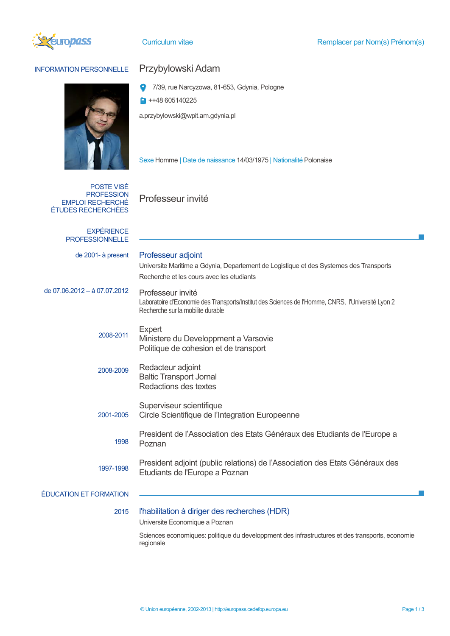

## INFORMATION PERSONNELLE Przybylowski Adam



- o 7/39, rue Narcyzowa, 81-653, Gdynia, Pologne
- $\blacksquare$  ++48 605140225

a.przybylowski@wpit.am.gdynia.pl

Sexe Homme | Date de naissance 14/03/1975 | Nationalité Polonaise

POSTE VISÉ **PROFESSION** EMPLOI RECHERCHÉ ÉTUDES RECHERCHÉES

Professeur invité

| <b>EXPÉRIENCE</b><br><b>PROFESSIONNELLE</b> |                                                                                                                                                             |  |  |  |
|---------------------------------------------|-------------------------------------------------------------------------------------------------------------------------------------------------------------|--|--|--|
| de 2001-à present                           | Professeur adjoint<br>Universite Maritime a Gdynia, Departement de Logistique et des Systemes des Transports<br>Recherche et les cours avec les etudiants   |  |  |  |
| de 07.06.2012 - à 07.07.2012                | Professeur invité<br>Laboratoire d'Economie des Transports/Institut des Sciences de l'Homme, CNRS, l'Université Lyon 2<br>Recherche sur la mobilite durable |  |  |  |
| 2008-2011                                   | Expert<br>Ministere du Developpment a Varsovie<br>Politique de cohesion et de transport                                                                     |  |  |  |
| 2008-2009                                   | Redacteur adjoint<br><b>Baltic Transport Jornal</b><br>Redactions des textes                                                                                |  |  |  |
| 2001-2005                                   | Superviseur scientifique<br>Circle Scientifique de l'Integration Europeenne                                                                                 |  |  |  |
| 1998                                        | President de l'Association des Etats Généraux des Etudiants de l'Europe a<br>Poznan                                                                         |  |  |  |
| 1997-1998                                   | President adjoint (public relations) de l'Association des Etats Généraux des<br>Etudiants de l'Europe a Poznan                                              |  |  |  |
| <b>ÉDUCATION ET FORMATION</b>               |                                                                                                                                                             |  |  |  |
| 2015                                        | l'habilitation à diriger des recherches (HDR)<br>Universite Economique a Poznan                                                                             |  |  |  |

Sciences economiques: politique du developpment des infrastructures et des transports, economie regionale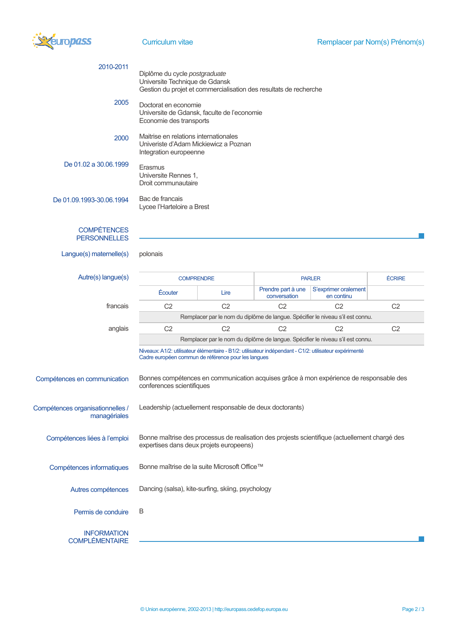

| 2010-2011                                        | Diplôme du cycle postgraduate<br>Universite Technique de Gdansk<br>Gestion du projet et commercialisation des resultats de recherche      |                                                                                                                                                               |                                    |                                    |                |  |
|--------------------------------------------------|-------------------------------------------------------------------------------------------------------------------------------------------|---------------------------------------------------------------------------------------------------------------------------------------------------------------|------------------------------------|------------------------------------|----------------|--|
| 2005                                             | Doctorat en economie<br>Universite de Gdansk, faculte de l'economie<br>Economie des transports                                            |                                                                                                                                                               |                                    |                                    |                |  |
| 2000                                             | Maitrise en relations internationales<br>Univeriste d'Adam Mickiewicz a Poznan<br>Integration europeenne                                  |                                                                                                                                                               |                                    |                                    |                |  |
| De 01.02 a 30.06.1999                            | Erasmus<br>Universite Rennes 1,<br>Droit communautaire                                                                                    |                                                                                                                                                               |                                    |                                    |                |  |
| De 01.09.1993-30.06.1994                         | Bac de francais<br>Lycee l'Harteloire a Brest                                                                                             |                                                                                                                                                               |                                    |                                    |                |  |
| <b>COMPÉTENCES</b><br><b>PERSONNELLES</b>        |                                                                                                                                           |                                                                                                                                                               |                                    |                                    |                |  |
| Langue(s) maternelle(s)                          | polonais                                                                                                                                  |                                                                                                                                                               |                                    |                                    |                |  |
| Autre(s) langue(s)                               | <b>COMPRENDRE</b>                                                                                                                         |                                                                                                                                                               | <b>PARLER</b>                      |                                    | <b>ÉCRIRE</b>  |  |
|                                                  | Écouter                                                                                                                                   | Lire                                                                                                                                                          | Prendre part à une<br>conversation | S'exprimer oralement<br>en continu |                |  |
| francais                                         | C <sub>2</sub>                                                                                                                            | C <sub>2</sub>                                                                                                                                                | C <sub>2</sub>                     | C <sub>2</sub>                     | C <sub>2</sub> |  |
|                                                  | Remplacer par le nom du diplôme de langue. Spécifier le niveau s'il est connu.                                                            |                                                                                                                                                               |                                    |                                    |                |  |
| anglais                                          | C <sub>2</sub>                                                                                                                            | C <sub>2</sub>                                                                                                                                                | C <sub>2</sub>                     | C <sub>2</sub>                     | C <sub>2</sub> |  |
|                                                  | Remplacer par le nom du diplôme de langue. Spécifier le niveau s'il est connu.                                                            |                                                                                                                                                               |                                    |                                    |                |  |
|                                                  |                                                                                                                                           | Niveaux: A1/2: utilisateur élémentaire - B1/2: utilisateur indépendant - C1/2: utilisateur expérimenté<br>Cadre européen commun de référence pour les langues |                                    |                                    |                |  |
| Compétences en communication                     | Bonnes compétences en communication acquises grâce à mon expérience de responsable des<br>conferences scientifiques                       |                                                                                                                                                               |                                    |                                    |                |  |
| Compétences organisationnelles /<br>managériales | Leadership (actuellement responsable de deux doctorants)                                                                                  |                                                                                                                                                               |                                    |                                    |                |  |
| Compétences liées à l'emploi                     | Bonne maîtrise des processus de realisation des projests scientifique (actuellement chargé des<br>expertises dans deux projets europeens) |                                                                                                                                                               |                                    |                                    |                |  |
| Compétences informatiques                        | Bonne maîtrise de la suite Microsoft Office™                                                                                              |                                                                                                                                                               |                                    |                                    |                |  |
| Autres compétences                               | Dancing (salsa), kite-surfing, skiing, psychology                                                                                         |                                                                                                                                                               |                                    |                                    |                |  |
| Permis de conduire                               | B                                                                                                                                         |                                                                                                                                                               |                                    |                                    |                |  |
| <b>INFORMATION</b><br><b>COMPLÉMENTAIRE</b>      |                                                                                                                                           |                                                                                                                                                               |                                    |                                    |                |  |